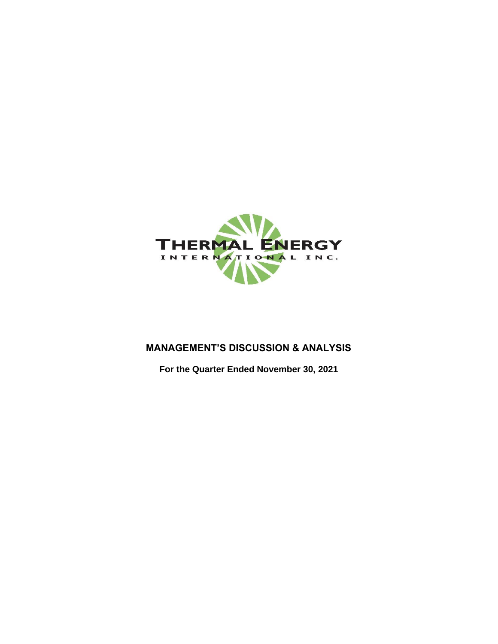

# **MANAGEMENT'S DISCUSSION & ANALYSIS**

**For the Quarter Ended November 30, 2021**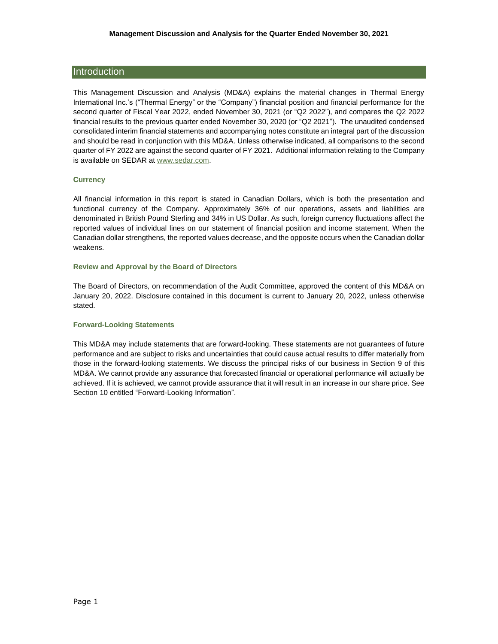# **Introduction**

This Management Discussion and Analysis (MD&A) explains the material changes in Thermal Energy International Inc.'s ("Thermal Energy" or the "Company") financial position and financial performance for the second quarter of Fiscal Year 2022, ended November 30, 2021 (or "Q2 2022"), and compares the Q2 2022 financial results to the previous quarter ended November 30, 2020 (or "Q2 2021"). The unaudited condensed consolidated interim financial statements and accompanying notes constitute an integral part of the discussion and should be read in conjunction with this MD&A. Unless otherwise indicated, all comparisons to the second quarter of FY 2022 are against the second quarter of FY 2021. Additional information relating to the Company is available on SEDAR at [www.sedar.com.](http://sedar.com/DisplayProfile.do?lang=EN&issuerType=03&issuerNo=00007994)

# **Currency**

All financial information in this report is stated in Canadian Dollars, which is both the presentation and functional currency of the Company. Approximately 36% of our operations, assets and liabilities are denominated in British Pound Sterling and 34% in US Dollar. As such, foreign currency fluctuations affect the reported values of individual lines on our statement of financial position and income statement. When the Canadian dollar strengthens, the reported values decrease, and the opposite occurs when the Canadian dollar weakens.

## **Review and Approval by the Board of Directors**

The Board of Directors, on recommendation of the Audit Committee, approved the content of this MD&A on January 20, 2022. Disclosure contained in this document is current to January 20, 2022, unless otherwise stated.

### **Forward-Looking Statements**

This MD&A may include statements that are forward-looking. These statements are not guarantees of future performance and are subject to risks and uncertainties that could cause actual results to differ materially from those in the forward-looking statements. We discuss the principal risks of our business in Section 9 of this MD&A. We cannot provide any assurance that forecasted financial or operational performance will actually be achieved. If it is achieved, we cannot provide assurance that it will result in an increase in our share price. See Section 10 entitled "Forward-Looking Information".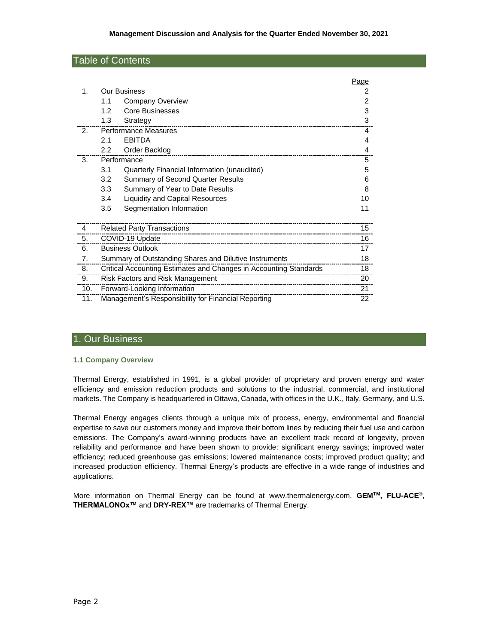# Table of Contents

|                |                                               |                                                                   | Page |
|----------------|-----------------------------------------------|-------------------------------------------------------------------|------|
| $\mathbf{1}$ . | <b>Our Business</b>                           |                                                                   | 2    |
|                | 1.1<br><b>Company Overview</b>                |                                                                   | 2    |
|                | 1.2<br><b>Core Businesses</b>                 |                                                                   | 3    |
|                | 1.3<br>Strategy                               |                                                                   | 3    |
| 2 <sub>1</sub> | <b>Performance Measures</b>                   |                                                                   | 4    |
|                | <b>EBITDA</b><br>2.1                          |                                                                   | 4    |
|                | $2.2\phantom{0}$<br>Order Backlog             |                                                                   | 4    |
| 3.             | Performance                                   |                                                                   | 5    |
|                | 3.1                                           | Quarterly Financial Information (unaudited)                       | 5    |
|                | 3.2                                           | <b>Summary of Second Quarter Results</b>                          | 6    |
|                | 3.3<br>Summary of Year to Date Results        |                                                                   | 8    |
|                | 3.4<br><b>Liquidity and Capital Resources</b> |                                                                   | 10   |
|                | Segmentation Information<br>3.5               |                                                                   | 11   |
|                |                                               |                                                                   |      |
| $\overline{4}$ | <b>Related Party Transactions</b>             |                                                                   | 15   |
| 5.             | COVID-19 Update                               |                                                                   | 16   |
| 6.             | <b>Business Outlook</b>                       |                                                                   | 17   |
| 7.             |                                               | Summary of Outstanding Shares and Dilutive Instruments            | 18   |
| 8.             |                                               | Critical Accounting Estimates and Changes in Accounting Standards | 18   |
| 9.             | Risk Factors and Risk Management              |                                                                   | 20   |
| 10.            | Forward-Looking Information                   |                                                                   | 21   |
| 11.            |                                               | Management's Responsibility for Financial Reporting               | 22   |

# 1. Our Business

# **1.1 Company Overview**

Thermal Energy, established in 1991, is a global provider of proprietary and proven energy and water efficiency and emission reduction products and solutions to the industrial, commercial, and institutional markets. The Company is headquartered in Ottawa, Canada, with offices in the U.K., Italy, Germany, and U.S.

Thermal Energy engages clients through a unique mix of process, energy, environmental and financial expertise to save our customers money and improve their bottom lines by reducing their fuel use and carbon emissions. The Company's award-winning products have an excellent track record of longevity, proven reliability and performance and have been shown to provide: significant energy savings; improved water efficiency; reduced greenhouse gas emissions; lowered maintenance costs; improved product quality; and increased production efficiency. Thermal Energy's products are effective in a wide range of industries and applications.

More information on Thermal Energy can be found at [www.thermalenergy.com.](http://www.thermalenergy.com/) **GEMTM, FLU-ACE®, THERMALONOx™** and **DRY-REX™** are trademarks of Thermal Energy.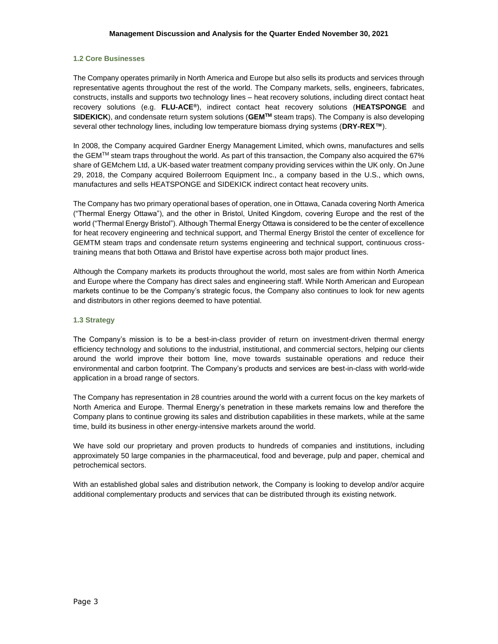## **1.2 Core Businesses**

The Company operates primarily in North America and Europe but also sells its products and services through representative agents throughout the rest of the world. The Company markets, sells, engineers, fabricates, constructs, installs and supports two technology lines – heat recovery solutions, including direct contact heat recovery solutions (e.g. **FLU-ACE®**), indirect contact heat recovery solutions (**HEATSPONGE** and **SIDEKICK**), and condensate return system solutions (**GEMTM** steam traps). The Company is also developing several other technology lines, including low temperature biomass drying systems (**DRY-REX™**).

In 2008, the Company acquired Gardner Energy Management Limited, which owns, manufactures and sells the GEM<sup>TM</sup> steam traps throughout the world. As part of this transaction, the Company also acquired the 67% share of GEMchem Ltd, a UK-based water treatment company providing services within the UK only. On June 29, 2018, the Company acquired Boilerroom Equipment Inc., a company based in the U.S., which owns, manufactures and sells HEATSPONGE and SIDEKICK indirect contact heat recovery units.

The Company has two primary operational bases of operation, one in Ottawa, Canada covering North America ("Thermal Energy Ottawa"), and the other in Bristol, United Kingdom, covering Europe and the rest of the world ("Thermal Energy Bristol"). Although Thermal Energy Ottawa is considered to be the center of excellence for heat recovery engineering and technical support, and Thermal Energy Bristol the center of excellence for GEMTM steam traps and condensate return systems engineering and technical support, continuous crosstraining means that both Ottawa and Bristol have expertise across both major product lines.

Although the Company markets its products throughout the world, most sales are from within North America and Europe where the Company has direct sales and engineering staff. While North American and European markets continue to be the Company's strategic focus, the Company also continues to look for new agents and distributors in other regions deemed to have potential.

## **1.3 Strategy**

The Company's mission is to be a best-in-class provider of return on investment-driven thermal energy efficiency technology and solutions to the industrial, institutional, and commercial sectors, helping our clients around the world improve their bottom line, move towards sustainable operations and reduce their environmental and carbon footprint. The Company's products and services are best-in-class with world-wide application in a broad range of sectors.

The Company has representation in 28 countries around the world with a current focus on the key markets of North America and Europe. Thermal Energy's penetration in these markets remains low and therefore the Company plans to continue growing its sales and distribution capabilities in these markets, while at the same time, build its business in other energy-intensive markets around the world.

We have sold our proprietary and proven products to hundreds of companies and institutions, including approximately 50 large companies in the pharmaceutical, food and beverage, pulp and paper, chemical and petrochemical sectors.

With an established global sales and distribution network, the Company is looking to develop and/or acquire additional complementary products and services that can be distributed through its existing network.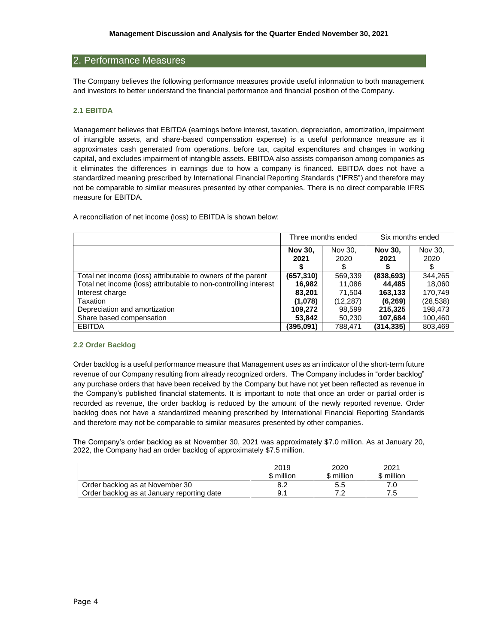# 2. Performance Measures

The Company believes the following performance measures provide useful information to both management and investors to better understand the financial performance and financial position of the Company.

## **2.1 EBITDA**

Management believes that EBITDA (earnings before interest, taxation, depreciation, amortization, impairment of intangible assets, and share-based compensation expense) is a useful performance measure as it approximates cash generated from operations, before tax, capital expenditures and changes in working capital, and excludes impairment of intangible assets. EBITDA also assists comparison among companies as it eliminates the differences in earnings due to how a company is financed. EBITDA does not have a standardized meaning prescribed by International Financial Reporting Standards ("IFRS") and therefore may not be comparable to similar measures presented by other companies. There is no direct comparable IFRS measure for EBITDA.

A reconciliation of net income (loss) to EBITDA is shown below:

|                                                                  |                | Three months ended | Six months ended |           |  |
|------------------------------------------------------------------|----------------|--------------------|------------------|-----------|--|
|                                                                  | <b>Nov 30.</b> | Nov 30,            | <b>Nov 30.</b>   | Nov 30.   |  |
|                                                                  | 2021           | 2020               | 2021             | 2020      |  |
| Total net income (loss) attributable to owners of the parent     | (657, 310)     | 569,339            | (838, 693)       | 344,265   |  |
| Total net income (loss) attributable to non-controlling interest | 16,982         | 11,086             | 44.485           | 18,060    |  |
| Interest charge                                                  | 83.201         | 71.504             | 163,133          | 170.749   |  |
| Taxation                                                         | (1,078)        | (12,287)           | (6, 269)         | (28, 538) |  |
| Depreciation and amortization                                    | 109,272        | 98,599             | 215,325          | 198,473   |  |
| Share based compensation                                         | 53,842         | 50.230             | 107,684          | 100,460   |  |
| <b>EBITDA</b>                                                    | (395,091)      | 788.471            | (314, 335)       | 803.469   |  |

#### **2.2 Order Backlog**

Order backlog is a useful performance measure that Management uses as an indicator of the short-term future revenue of our Company resulting from already recognized orders. The Company includes in "order backlog" any purchase orders that have been received by the Company but have not yet been reflected as revenue in the Company's published financial statements. It is important to note that once an order or partial order is recorded as revenue, the order backlog is reduced by the amount of the newly reported revenue. Order backlog does not have a standardized meaning prescribed by International Financial Reporting Standards and therefore may not be comparable to similar measures presented by other companies.

The Company's order backlog as at November 30, 2021 was approximately \$7.0 million. As at January 20, 2022, the Company had an order backlog of approximately \$7.5 million.

|                                            | 2019       | 2020       | 2021       |
|--------------------------------------------|------------|------------|------------|
|                                            | \$ million | \$ million | \$ million |
| Order backlog as at November 30            | 8.2        | 5.5        |            |
| Order backlog as at January reporting date | 9.1        | 70         | 7.5        |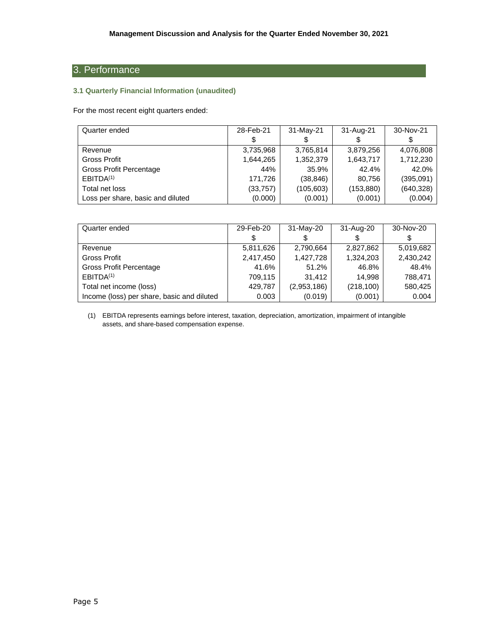# 3. Performance

# **3.1 Quarterly Financial Information (unaudited)**

For the most recent eight quarters ended:

| Quarter ended                     | 28-Feb-21 | 31-May-21  | 31-Aug-21  | 30-Nov-21  |
|-----------------------------------|-----------|------------|------------|------------|
|                                   |           |            |            |            |
| Revenue                           | 3,735,968 | 3,765,814  | 3.879.256  | 4.076.808  |
| Gross Profit                      | 1,644,265 | 1,352,379  | 1,643,717  | 1,712,230  |
| Gross Profit Percentage           | 44%       | 35.9%      | 42.4%      | 42.0%      |
| EBITDA <sup>(1)</sup>             | 171.726   | (38, 846)  | 80.756     | (395,091)  |
| Total net loss                    | (33,757)  | (105, 603) | (153, 880) | (640, 328) |
| Loss per share, basic and diluted | (0.000)   | (0.001)    | (0.001)    | (0.004)    |

| Quarter ended                              | 29-Feb-20 | 31-May-20   | 31-Aug-20  | 30-Nov-20 |
|--------------------------------------------|-----------|-------------|------------|-----------|
|                                            | \$        |             |            | \$        |
| Revenue                                    | 5,811,626 | 2,790,664   | 2,827,862  | 5,019,682 |
| <b>Gross Profit</b>                        | 2,417,450 | 1,427,728   | 1,324,203  | 2,430,242 |
| Gross Profit Percentage                    | 41.6%     | 51.2%       | 46.8%      | 48.4%     |
| EBITDA <sup>(1)</sup>                      | 709,115   | 31,412      | 14.998     | 788,471   |
| Total net income (loss)                    | 429,787   | (2,953,186) | (218, 100) | 580,425   |
| Income (loss) per share, basic and diluted | 0.003     | (0.019)     | (0.001)    | 0.004     |

(1) EBITDA represents earnings before interest, taxation, depreciation, amortization, impairment of intangible assets, and share-based compensation expense.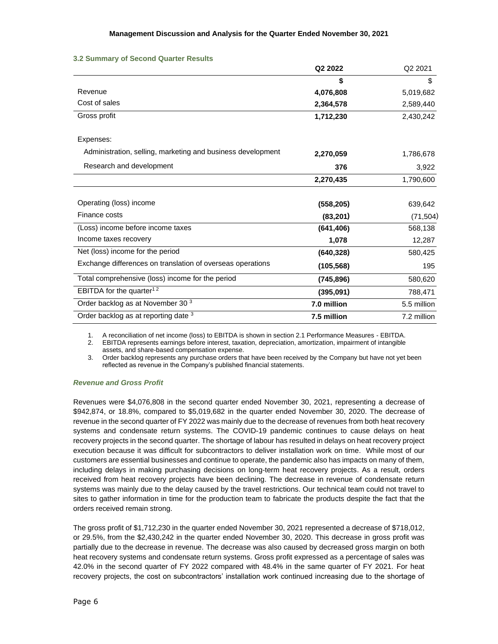|                                                             | Q2 2022     | Q2 2021     |
|-------------------------------------------------------------|-------------|-------------|
|                                                             | \$          | \$          |
| Revenue                                                     | 4,076,808   | 5,019,682   |
| Cost of sales                                               | 2,364,578   | 2,589,440   |
| Gross profit                                                | 1,712,230   | 2,430,242   |
| Expenses:                                                   |             |             |
| Administration, selling, marketing and business development | 2,270,059   | 1,786,678   |
| Research and development                                    | 376         | 3,922       |
|                                                             | 2,270,435   | 1,790,600   |
| Operating (loss) income                                     | (558, 205)  | 639,642     |
| Finance costs                                               | (83, 201)   | (71, 504)   |
| (Loss) income before income taxes                           | (641, 406)  | 568,138     |
| Income taxes recovery                                       | 1,078       | 12,287      |
| Net (loss) income for the period                            | (640, 328)  | 580,425     |
| Exchange differences on translation of overseas operations  | (105, 568)  | 195         |
| Total comprehensive (loss) income for the period            | (745, 896)  | 580,620     |
| EBITDA for the quarter <sup>12</sup>                        | (395,091)   | 788,471     |
| Order backlog as at November 30 <sup>3</sup>                | 7.0 million | 5.5 million |
| Order backlog as at reporting date 3                        | 7.5 million | 7.2 million |

### **3.2 Summary of Second Quarter Results**

1. A reconciliation of net income (loss) to EBITDA is shown in section 2.1 Performance Measures - EBITDA.

2. EBITDA represents earnings before interest, taxation, depreciation, amortization, impairment of intangible assets, and share-based compensation expense.

3. Order backlog represents any purchase orders that have been received by the Company but have not yet been reflected as revenue in the Company's published financial statements.

# *Revenue and Gross Profit*

Revenues were \$4,076,808 in the second quarter ended November 30, 2021, representing a decrease of \$942,874, or 18.8%, compared to \$5,019,682 in the quarter ended November 30, 2020. The decrease of revenue in the second quarter of FY 2022 was mainly due to the decrease of revenues from both heat recovery systems and condensate return systems. The COVID-19 pandemic continues to cause delays on heat recovery projects in the second quarter. The shortage of labour has resulted in delays on heat recovery project execution because it was difficult for subcontractors to deliver installation work on time. While most of our customers are essential businesses and continue to operate, the pandemic also has impacts on many of them, including delays in making purchasing decisions on long-term heat recovery projects. As a result, orders received from heat recovery projects have been declining. The decrease in revenue of condensate return systems was mainly due to the delay caused by the travel restrictions. Our technical team could not travel to sites to gather information in time for the production team to fabricate the products despite the fact that the orders received remain strong.

The gross profit of \$1,712,230 in the quarter ended November 30, 2021 represented a decrease of \$718,012, or 29.5%, from the \$2,430,242 in the quarter ended November 30, 2020. This decrease in gross profit was partially due to the decrease in revenue. The decrease was also caused by decreased gross margin on both heat recovery systems and condensate return systems. Gross profit expressed as a percentage of sales was 42.0% in the second quarter of FY 2022 compared with 48.4% in the same quarter of FY 2021. For heat recovery projects, the cost on subcontractors' installation work continued increasing due to the shortage of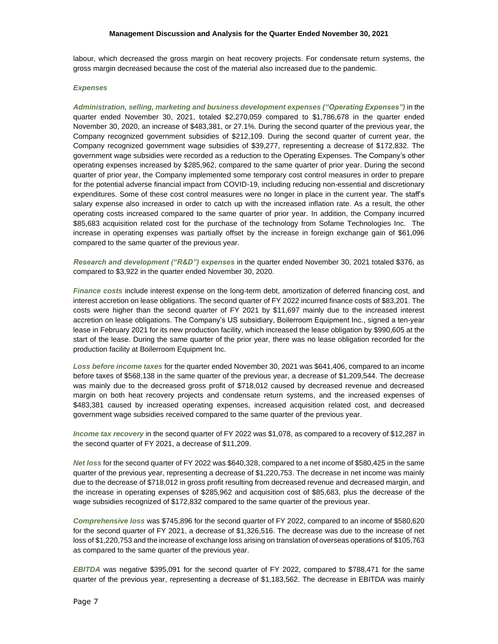#### **Management Discussion and Analysis for the Quarter Ended November 30, 2021**

labour, which decreased the gross margin on heat recovery projects. For condensate return systems, the gross margin decreased because the cost of the material also increased due to the pandemic.

## *Expenses*

*Administration, selling, marketing and business development expenses ("Operating Expenses")* in the quarter ended November 30, 2021, totaled \$2,270,059 compared to \$1,786,678 in the quarter ended November 30, 2020, an increase of \$483,381, or 27.1%. During the second quarter of the previous year, the Company recognized government subsidies of \$212,109. During the second quarter of current year, the Company recognized government wage subsidies of \$39,277, representing a decrease of \$172,832. The government wage subsidies were recorded as a reduction to the Operating Expenses. The Company's other operating expenses increased by \$285,962, compared to the same quarter of prior year. During the second quarter of prior year, the Company implemented some temporary cost control measures in order to prepare for the potential adverse financial impact from COVID-19, including reducing non-essential and discretionary expenditures. Some of these cost control measures were no longer in place in the current year. The staff's salary expense also increased in order to catch up with the increased inflation rate. As a result, the other operating costs increased compared to the same quarter of prior year. In addition, the Company incurred \$85,683 acquisition related cost for the purchase of the technology from Sofame Technologies Inc. The increase in operating expenses was partially offset by the increase in foreign exchange gain of \$61,096 compared to the same quarter of the previous year.

*Research and development ("R&D") expenses* in the quarter ended November 30, 2021 totaled \$376, as compared to \$3,922 in the quarter ended November 30, 2020.

*Finance costs* include interest expense on the long-term debt, amortization of deferred financing cost, and interest accretion on lease obligations. The second quarter of FY 2022 incurred finance costs of \$83,201. The costs were higher than the second quarter of FY 2021 by \$11,697 mainly due to the increased interest accretion on lease obligations. The Company's US subsidiary, Boilerroom Equipment Inc., signed a ten-year lease in February 2021 for its new production facility, which increased the lease obligation by \$990,605 at the start of the lease. During the same quarter of the prior year, there was no lease obligation recorded for the production facility at Boilerroom Equipment Inc.

*Loss before income taxes* for the quarter ended November 30, 2021 was \$641,406, compared to an income before taxes of \$568,138 in the same quarter of the previous year, a decrease of \$1,209,544. The decrease was mainly due to the decreased gross profit of \$718,012 caused by decreased revenue and decreased margin on both heat recovery projects and condensate return systems, and the increased expenses of \$483,381 caused by increased operating expenses, increased acquisition related cost, and decreased government wage subsidies received compared to the same quarter of the previous year.

*Income tax recovery* in the second quarter of FY 2022 was \$1,078, as compared to a recovery of \$12,287 in the second quarter of FY 2021, a decrease of \$11,209.

*Net loss* for the second quarter of FY 2022 was \$640,328, compared to a net income of \$580,425 in the same quarter of the previous year, representing a decrease of \$1,220,753. The decrease in net income was mainly due to the decrease of \$718,012 in gross profit resulting from decreased revenue and decreased margin, and the increase in operating expenses of \$285,962 and acquisition cost of \$85,683, plus the decrease of the wage subsidies recognized of \$172,832 compared to the same quarter of the previous year.

*Comprehensive loss* was \$745,896 for the second quarter of FY 2022, compared to an income of \$580,620 for the second quarter of FY 2021, a decrease of \$1,326,516. The decrease was due to the increase of net loss of \$1,220,753 and the increase of exchange loss arising on translation of overseas operations of \$105,763 as compared to the same quarter of the previous year.

*EBITDA* was negative \$395,091 for the second quarter of FY 2022, compared to \$788,471 for the same quarter of the previous year, representing a decrease of \$1,183,562. The decrease in EBITDA was mainly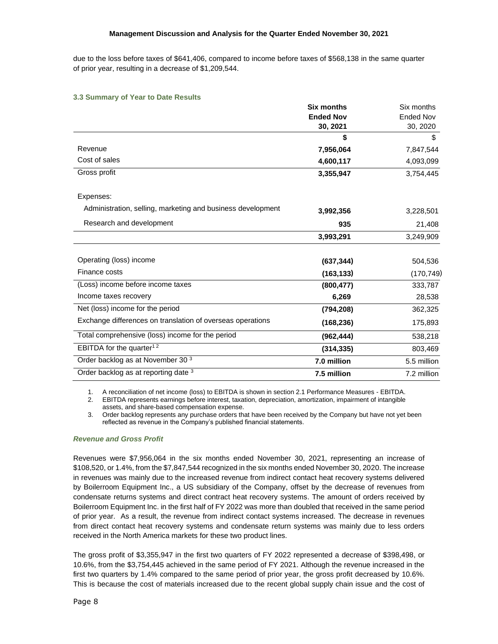due to the loss before taxes of \$641,406, compared to income before taxes of \$568,138 in the same quarter of prior year, resulting in a decrease of \$1,209,544.

## **3.3 Summary of Year to Date Results**

| <b>Six months</b> | Six months       |
|-------------------|------------------|
| <b>Ended Nov</b>  | <b>Ended Nov</b> |
| 30, 2021          | 30, 2020         |
| \$                | \$               |
| 7,956,064         | 7,847,544        |
| 4,600,117         | 4,093,099        |
| 3,355,947         | 3,754,445        |
|                   |                  |
| 3,992,356         | 3,228,501        |
| 935               | 21,408           |
| 3,993,291         | 3,249,909        |
| (637, 344)        | 504,536          |
| (163, 133)        | (170, 749)       |
| (800, 477)        | 333,787          |
| 6,269             | 28,538           |
| (794, 208)        | 362,325          |
| (168, 236)        | 175,893          |
| (962, 444)        | 538,218          |
| (314, 335)        | 803,469          |
| 7.0 million       | 5.5 million      |
| 7.5 million       | 7.2 million      |
|                   |                  |

1. A reconciliation of net income (loss) to EBITDA is shown in section 2.1 Performance Measures - EBITDA.

2. EBITDA represents earnings before interest, taxation, depreciation, amortization, impairment of intangible assets, and share-based compensation expense.

3. Order backlog represents any purchase orders that have been received by the Company but have not yet been reflected as revenue in the Company's published financial statements.

# *Revenue and Gross Profit*

Revenues were \$7,956,064 in the six months ended November 30, 2021, representing an increase of \$108,520, or 1.4%, from the \$7,847,544 recognized in the six months ended November 30, 2020. The increase in revenues was mainly due to the increased revenue from indirect contact heat recovery systems delivered by Boilerroom Equipment Inc., a US subsidiary of the Company, offset by the decrease of revenues from condensate returns systems and direct contract heat recovery systems. The amount of orders received by Boilerroom Equipment Inc. in the first half of FY 2022 was more than doubled that received in the same period of prior year. As a result, the revenue from indirect contact systems increased. The decrease in revenues from direct contact heat recovery systems and condensate return systems was mainly due to less orders received in the North America markets for these two product lines.

The gross profit of \$3,355,947 in the first two quarters of FY 2022 represented a decrease of \$398,498, or 10.6%, from the \$3,754,445 achieved in the same period of FY 2021. Although the revenue increased in the first two quarters by 1.4% compared to the same period of prior year, the gross profit decreased by 10.6%. This is because the cost of materials increased due to the recent global supply chain issue and the cost of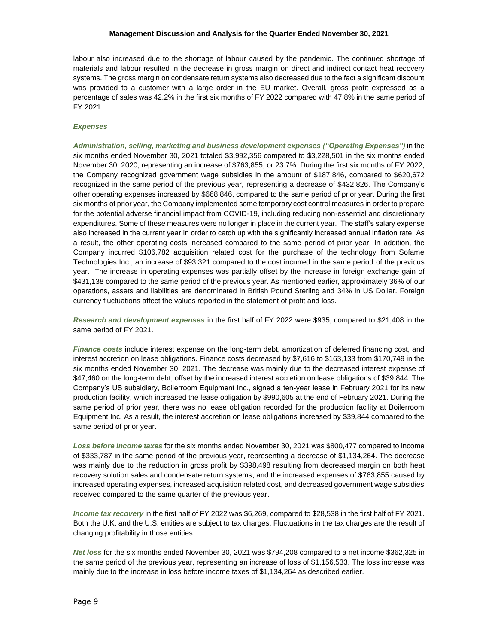#### **Management Discussion and Analysis for the Quarter Ended November 30, 2021**

labour also increased due to the shortage of labour caused by the pandemic. The continued shortage of materials and labour resulted in the decrease in gross margin on direct and indirect contact heat recovery systems. The gross margin on condensate return systems also decreased due to the fact a significant discount was provided to a customer with a large order in the EU market. Overall, gross profit expressed as a percentage of sales was 42.2% in the first six months of FY 2022 compared with 47.8% in the same period of FY 2021.

## *Expenses*

*Administration, selling, marketing and business development expenses ("Operating Expenses")* in the six months ended November 30, 2021 totaled \$3,992,356 compared to \$3,228,501 in the six months ended November 30, 2020, representing an increase of \$763,855, or 23.7%. During the first six months of FY 2022, the Company recognized government wage subsidies in the amount of \$187,846, compared to \$620,672 recognized in the same period of the previous year, representing a decrease of \$432,826. The Company's other operating expenses increased by \$668,846, compared to the same period of prior year. During the first six months of prior year, the Company implemented some temporary cost control measures in order to prepare for the potential adverse financial impact from COVID-19, including reducing non-essential and discretionary expenditures. Some of these measures were no longer in place in the current year. The staff's salary expense also increased in the current year in order to catch up with the significantly increased annual inflation rate. As a result, the other operating costs increased compared to the same period of prior year. In addition, the Company incurred \$106,782 acquisition related cost for the purchase of the technology from Sofame Technologies Inc., an increase of \$93,321 compared to the cost incurred in the same period of the previous year. The increase in operating expenses was partially offset by the increase in foreign exchange gain of \$431,138 compared to the same period of the previous year. As mentioned earlier, approximately 36% of our operations, assets and liabilities are denominated in British Pound Sterling and 34% in US Dollar. Foreign currency fluctuations affect the values reported in the statement of profit and loss.

*Research and development expenses* in the first half of FY 2022 were \$935, compared to \$21,408 in the same period of FY 2021.

*Finance costs* include interest expense on the long-term debt, amortization of deferred financing cost, and interest accretion on lease obligations. Finance costs decreased by \$7,616 to \$163,133 from \$170,749 in the six months ended November 30, 2021. The decrease was mainly due to the decreased interest expense of \$47,460 on the long-term debt, offset by the increased interest accretion on lease obligations of \$39,844. The Company's US subsidiary, Boilerroom Equipment Inc., signed a ten-year lease in February 2021 for its new production facility, which increased the lease obligation by \$990,605 at the end of February 2021. During the same period of prior year, there was no lease obligation recorded for the production facility at Boilerroom Equipment Inc. As a result, the interest accretion on lease obligations increased by \$39,844 compared to the same period of prior year.

*Loss before income taxes* for the six months ended November 30, 2021 was \$800,477 compared to income of \$333,787 in the same period of the previous year, representing a decrease of \$1,134,264. The decrease was mainly due to the reduction in gross profit by \$398,498 resulting from decreased margin on both heat recovery solution sales and condensate return systems, and the increased expenses of \$763,855 caused by increased operating expenses, increased acquisition related cost, and decreased government wage subsidies received compared to the same quarter of the previous year.

*Income tax recovery* in the first half of FY 2022 was \$6,269, compared to \$28,538 in the first half of FY 2021. Both the U.K. and the U.S. entities are subject to tax charges. Fluctuations in the tax charges are the result of changing profitability in those entities.

*Net loss* for the six months ended November 30, 2021 was \$794,208 compared to a net income \$362,325 in the same period of the previous year, representing an increase of loss of \$1,156,533. The loss increase was mainly due to the increase in loss before income taxes of \$1,134,264 as described earlier.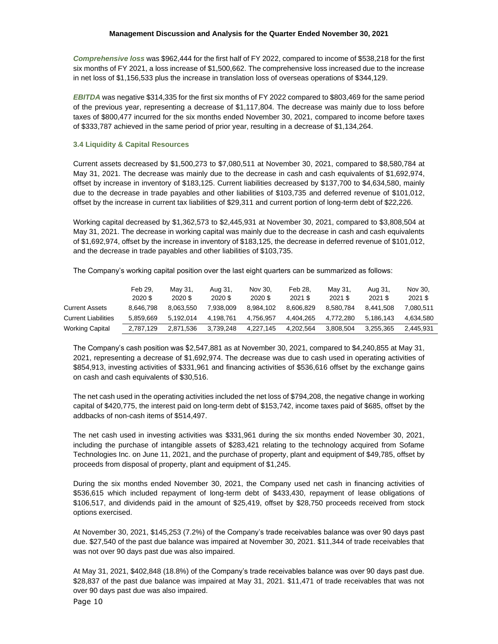*Comprehensive loss* was \$962,444 for the first half of FY 2022, compared to income of \$538,218 for the first six months of FY 2021, a loss increase of \$1,500,662. The comprehensive loss increased due to the increase in net loss of \$1,156,533 plus the increase in translation loss of overseas operations of \$344,129.

*EBITDA* was negative \$314,335 for the first six months of FY 2022 compared to \$803,469 for the same period of the previous year, representing a decrease of \$1,117,804. The decrease was mainly due to loss before taxes of \$800,477 incurred for the six months ended November 30, 2021, compared to income before taxes of \$333,787 achieved in the same period of prior year, resulting in a decrease of \$1,134,264.

## **3.4 Liquidity & Capital Resources**

Current assets decreased by \$1,500,273 to \$7,080,511 at November 30, 2021, compared to \$8,580,784 at May 31, 2021. The decrease was mainly due to the decrease in cash and cash equivalents of \$1,692,974, offset by increase in inventory of \$183,125. Current liabilities decreased by \$137,700 to \$4,634,580, mainly due to the decrease in trade payables and other liabilities of \$103,735 and deferred revenue of \$101,012, offset by the increase in current tax liabilities of \$29,311 and current portion of long-term debt of \$22,226.

Working capital decreased by \$1,362,573 to \$2,445,931 at November 30, 2021, compared to \$3,808,504 at May 31, 2021. The decrease in working capital was mainly due to the decrease in cash and cash equivalents of \$1,692,974, offset by the increase in inventory of \$183,125, the decrease in deferred revenue of \$101,012, and the decrease in trade payables and other liabilities of \$103,735.

The Company's working capital position over the last eight quarters can be summarized as follows:

|                            | Feb 29.<br>2020 \$ | May 31.<br>2020\$ | Aug 31,<br>2020 \$ | Nov 30.<br>2020 \$ | Feb 28.<br>2021 \$ | Mav 31.<br>2021 \$ | Aug 31.<br>2021 \$ | Nov 30.<br>2021 \$ |
|----------------------------|--------------------|-------------------|--------------------|--------------------|--------------------|--------------------|--------------------|--------------------|
| <b>Current Assets</b>      | 8.646.798          | 8.063.550         | 7.938.009          | 8.984.102          | 8.606.829          | 8.580.784          | 8.441.508          | 7.080.511          |
| <b>Current Liabilities</b> | 5.859.669          | 5.192.014         | 4.198.761          | 4.756.957          | 4.404.265          | 4.772.280          | 5.186.143          | 4.634.580          |
| <b>Working Capital</b>     | 2.787.129          | 2.871.536         | 3.739.248          | 4.227.145          | 4.202.564          | 3.808.504          | 3.255.365          | 2.445.931          |

The Company's cash position was \$2,547,881 as at November 30, 2021, compared to \$4,240,855 at May 31, 2021, representing a decrease of \$1,692,974. The decrease was due to cash used in operating activities of \$854,913, investing activities of \$331,961 and financing activities of \$536,616 offset by the exchange gains on cash and cash equivalents of \$30,516.

The net cash used in the operating activities included the net loss of \$794,208, the negative change in working capital of \$420,775, the interest paid on long-term debt of \$153,742, income taxes paid of \$685, offset by the addbacks of non-cash items of \$514,497.

The net cash used in investing activities was \$331,961 during the six months ended November 30, 2021, including the purchase of intangible assets of \$283,421 relating to the technology acquired from Sofame Technologies Inc. on June 11, 2021, and the purchase of property, plant and equipment of \$49,785, offset by proceeds from disposal of property, plant and equipment of \$1,245.

During the six months ended November 30, 2021, the Company used net cash in financing activities of \$536,615 which included repayment of long-term debt of \$433,430, repayment of lease obligations of \$106,517, and dividends paid in the amount of \$25,419, offset by \$28,750 proceeds received from stock options exercised.

At November 30, 2021, \$145,253 (7.2%) of the Company's trade receivables balance was over 90 days past due. \$27,540 of the past due balance was impaired at November 30, 2021. \$11,344 of trade receivables that was not over 90 days past due was also impaired.

Page 10 At May 31, 2021, \$402,848 (18.8%) of the Company's trade receivables balance was over 90 days past due. \$28,837 of the past due balance was impaired at May 31, 2021. \$11,471 of trade receivables that was not over 90 days past due was also impaired.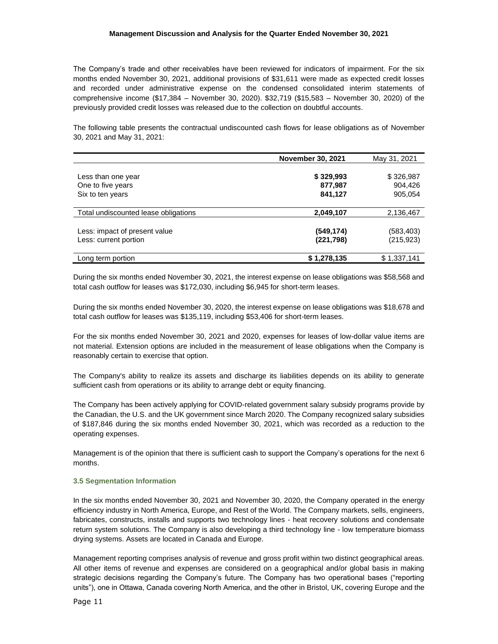The Company's trade and other receivables have been reviewed for indicators of impairment. For the six months ended November 30, 2021, additional provisions of \$31,611 were made as expected credit losses and recorded under administrative expense on the condensed consolidated interim statements of comprehensive income (\$17,384 – November 30, 2020). \$32,719 (\$15,583 – November 30, 2020) of the previously provided credit losses was released due to the collection on doubtful accounts.

The following table presents the contractual undiscounted cash flows for lease obligations as of November 30, 2021 and May 31, 2021:

|                                      | <b>November 30, 2021</b> | May 31, 2021 |
|--------------------------------------|--------------------------|--------------|
|                                      |                          |              |
| Less than one year                   | \$329,993                | \$326,987    |
| One to five years                    | 877,987                  | 904,426      |
| Six to ten years                     | 841,127                  | 905,054      |
|                                      |                          |              |
| Total undiscounted lease obligations | 2,049,107                | 2,136,467    |
|                                      |                          |              |
| Less: impact of present value        | (549,174)                | (583,403)    |
| Less: current portion                | (221,798)                | (215,923)    |
|                                      |                          |              |
| Long term portion                    | \$1,278,135              | \$1,337,141  |

During the six months ended November 30, 2021, the interest expense on lease obligations was \$58,568 and total cash outflow for leases was \$172,030, including \$6,945 for short-term leases.

During the six months ended November 30, 2020, the interest expense on lease obligations was \$18,678 and total cash outflow for leases was \$135,119, including \$53,406 for short-term leases.

For the six months ended November 30, 2021 and 2020, expenses for leases of low-dollar value items are not material. Extension options are included in the measurement of lease obligations when the Company is reasonably certain to exercise that option.

The Company's ability to realize its assets and discharge its liabilities depends on its ability to generate sufficient cash from operations or its ability to arrange debt or equity financing.

The Company has been actively applying for COVID-related government salary subsidy programs provide by the Canadian, the U.S. and the UK government since March 2020. The Company recognized salary subsidies of \$187,846 during the six months ended November 30, 2021, which was recorded as a reduction to the operating expenses.

Management is of the opinion that there is sufficient cash to support the Company's operations for the next 6 months.

# **3.5 Segmentation Information**

In the six months ended November 30, 2021 and November 30, 2020, the Company operated in the energy efficiency industry in North America, Europe, and Rest of the World. The Company markets, sells, engineers, fabricates, constructs, installs and supports two technology lines - heat recovery solutions and condensate return system solutions. The Company is also developing a third technology line - low temperature biomass drying systems. Assets are located in Canada and Europe.

Management reporting comprises analysis of revenue and gross profit within two distinct geographical areas. All other items of revenue and expenses are considered on a geographical and/or global basis in making strategic decisions regarding the Company's future. The Company has two operational bases ("reporting units"), one in Ottawa, Canada covering North America, and the other in Bristol, UK, covering Europe and the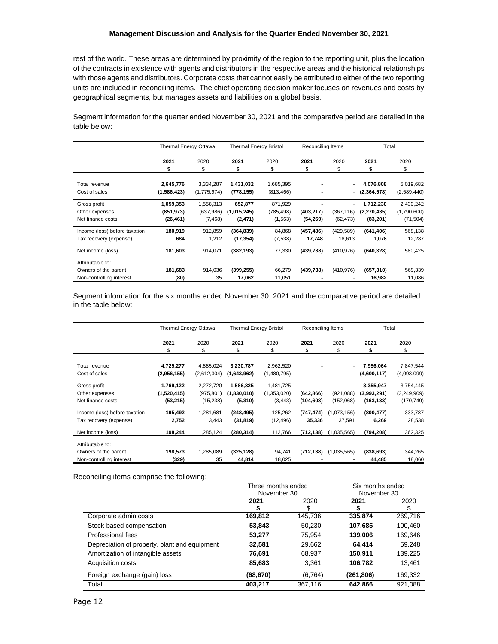rest of the world. These areas are determined by proximity of the region to the reporting unit, plus the location of the contracts in existence with agents and distributors in the respective areas and the historical relationships with those agents and distributors. Corporate costs that cannot easily be attributed to either of the two reporting units are included in reconciling items. The chief operating decision maker focuses on revenues and costs by geographical segments, but manages assets and liabilities on a global basis.

Segment information for the quarter ended November 30, 2021 and the comparative period are detailed in the table below:

|                               | <b>Thermal Energy Ottawa</b> |             | <b>Thermal Energy Bristol</b> |            | Reconciling Items |            | Total         |             |
|-------------------------------|------------------------------|-------------|-------------------------------|------------|-------------------|------------|---------------|-------------|
|                               | 2021                         | 2020        | 2021                          | 2020       | 2021              | 2020       | 2021          | 2020        |
|                               | \$                           | \$          | \$                            | \$         | \$                | \$         | \$            | \$          |
| Total revenue                 | 2,645,776                    | 3,334,287   | 1,431,032                     | 1,685,395  |                   |            | 4,076,808     | 5,019,682   |
| Cost of sales                 | (1,586,423)                  | (1,775,974) | (778, 155)                    | (813, 466) |                   | ٠          | (2,364,578)   | (2,589,440) |
| Gross profit                  | 1,059,353                    | 1,558,313   | 652,877                       | 871,929    |                   |            | 1,712,230     | 2,430,242   |
| Other expenses                | (851, 973)                   | (637,986)   | (1,015,245)                   | (785, 498) | (403, 217)        | (367, 116) | (2, 270, 435) | (1,790,600) |
| Net finance costs             | (26, 461)                    | (7, 468)    | (2, 471)                      | (1, 563)   | (54, 269)         | (62, 473)  | (83, 201)     | (71, 504)   |
| Income (loss) before taxation | 180,919                      | 912,859     | (364, 839)                    | 84,868     | (457, 486)        | (429, 589) | (641, 406)    | 568,138     |
| Tax recovery (expense)        | 684                          | 1,212       | (17, 354)                     | (7,538)    | 17,748            | 18,613     | 1,078         | 12,287      |
| Net income (loss)             | 181,603                      | 914,071     | (382, 193)                    | 77,330     | (439,738)         | (410, 976) | (640, 328)    | 580,425     |
| Attributable to:              |                              |             |                               |            |                   |            |               |             |
| Owners of the parent          | 181,683                      | 914,036     | (399, 255)                    | 66,279     | (439, 738)        | (410, 976) | (657, 310)    | 569,339     |
| Non-controlling interest      | (80)                         | 35          | 17,062                        | 11,051     |                   |            | 16,982        | 11,086      |

Segment information for the six months ended November 30, 2021 and the comparative period are detailed in the table below:

|                               | <b>Thermal Energy Ottawa</b> |             | <b>Thermal Energy Bristol</b> |             | Reconciling Items |              | Total           |             |
|-------------------------------|------------------------------|-------------|-------------------------------|-------------|-------------------|--------------|-----------------|-------------|
|                               | 2021                         | 2020        | 2021                          | 2020        | 2021              | 2020         | 2021            | 2020        |
|                               | \$                           | \$          | \$                            | \$          | \$                | \$           | \$              | \$          |
| Total revenue                 | 4,725,277                    | 4,885,024   | 3,230,787                     | 2,962,520   |                   |              | 7,956,064       | 7,847,544   |
| Cost of sales                 | (2,956,155)                  | (2,612,304) | (1,643,962)                   | (1,480,795) |                   |              | $-$ (4,600,117) | (4,093,099) |
| Gross profit                  | 1,769,122                    | 2,272,720   | 1,586,825                     | 1,481,725   |                   |              | 3,355,947       | 3,754,445   |
| Other expenses                | (1,520,415)                  | (975, 801)  | (1,830,010)                   | (1,353,020) | (642, 866)        | (921,088)    | (3,993,291)     | (3,249,909) |
| Net finance costs             | (53, 215)                    | (15, 238)   | (5,310)                       | (3, 443)    | (104, 608)        | (152,068)    | (163, 133)      | (170, 749)  |
| Income (loss) before taxation | 195,492                      | 1,281,681   | (248, 495)                    | 125,262     | (747, 474)        | (1,073,156)  | (800, 477)      | 333,787     |
| Tax recovery (expense)        | 2,752                        | 3,443       | (31, 819)                     | (12,496)    | 35,336            | 37,591       | 6,269           | 28,538      |
| Net income (loss)             | 198,244                      | 1,285,124   | (280, 314)                    | 112,766     | (712, 138)        | (1.035, 565) | (794, 208)      | 362,325     |
| Attributable to:              |                              |             |                               |             |                   |              |                 |             |
| Owners of the parent          | 198,573                      | 1,285,089   | (325, 128)                    | 94,741      | (712, 138)        | (1,035,565)  | (838, 693)      | 344,265     |
| Non-controlling interest      | (329)                        | 35          | 44,814                        | 18,025      |                   |              | 44,485          | 18,060      |

Reconciling items comprise the following:

|                                               | Three months ended |          | Six months ended |         |  |
|-----------------------------------------------|--------------------|----------|------------------|---------|--|
|                                               | November 30        |          | November 30      |         |  |
|                                               | 2021               | 2020     | 2021             | 2020    |  |
|                                               | Ъ                  |          |                  | \$      |  |
| Corporate admin costs                         | 169,812            | 145,736  | 335,874          | 269,716 |  |
| Stock-based compensation                      | 53,843             | 50,230   | 107,685          | 100,460 |  |
| Professional fees                             | 53,277             | 75,954   | 139,006          | 169,646 |  |
| Depreciation of property, plant and equipment | 32,581             | 29,662   | 64.414           | 59,248  |  |
| Amortization of intangible assets             | 76,691             | 68,937   | 150,911          | 139,225 |  |
| <b>Acquisition costs</b>                      | 85,683             | 3,361    | 106,782          | 13,461  |  |
| Foreign exchange (gain) loss                  | (68, 670)          | (6, 764) | (261,806)        | 169,332 |  |
| Total                                         | 403.217            | 367,116  | 642.866          | 921.088 |  |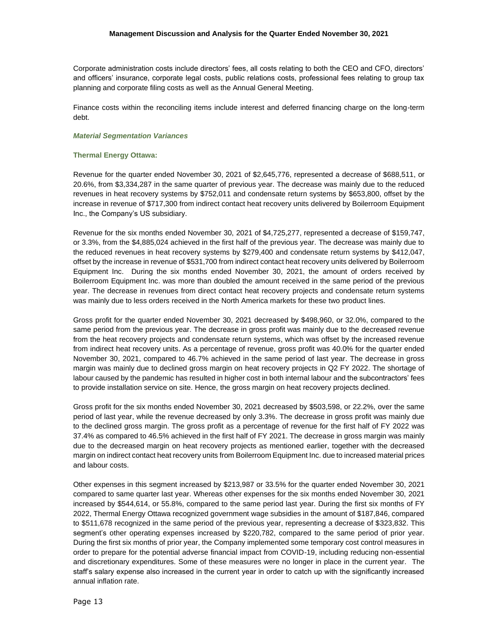Corporate administration costs include directors' fees, all costs relating to both the CEO and CFO, directors' and officers' insurance, corporate legal costs, public relations costs, professional fees relating to group tax planning and corporate filing costs as well as the Annual General Meeting.

Finance costs within the reconciling items include interest and deferred financing charge on the long-term debt.

### *Material Segmentation Variances*

## **Thermal Energy Ottawa:**

Revenue for the quarter ended November 30, 2021 of \$2,645,776, represented a decrease of \$688,511, or 20.6%, from \$3,334,287 in the same quarter of previous year. The decrease was mainly due to the reduced revenues in heat recovery systems by \$752,011 and condensate return systems by \$653,800, offset by the increase in revenue of \$717,300 from indirect contact heat recovery units delivered by Boilerroom Equipment Inc., the Company's US subsidiary.

Revenue for the six months ended November 30, 2021 of \$4,725,277, represented a decrease of \$159,747, or 3.3%, from the \$4,885,024 achieved in the first half of the previous year. The decrease was mainly due to the reduced revenues in heat recovery systems by \$279,400 and condensate return systems by \$412,047, offset by the increase in revenue of \$531,700 from indirect contact heat recovery units delivered by Boilerroom Equipment Inc. During the six months ended November 30, 2021, the amount of orders received by Boilerroom Equipment Inc. was more than doubled the amount received in the same period of the previous year. The decrease in revenues from direct contact heat recovery projects and condensate return systems was mainly due to less orders received in the North America markets for these two product lines.

Gross profit for the quarter ended November 30, 2021 decreased by \$498,960, or 32.0%, compared to the same period from the previous year. The decrease in gross profit was mainly due to the decreased revenue from the heat recovery projects and condensate return systems, which was offset by the increased revenue from indirect heat recovery units. As a percentage of revenue, gross profit was 40.0% for the quarter ended November 30, 2021, compared to 46.7% achieved in the same period of last year. The decrease in gross margin was mainly due to declined gross margin on heat recovery projects in Q2 FY 2022. The shortage of labour caused by the pandemic has resulted in higher cost in both internal labour and the subcontractors' fees to provide installation service on site. Hence, the gross margin on heat recovery projects declined.

Gross profit for the six months ended November 30, 2021 decreased by \$503,598, or 22.2%, over the same period of last year, while the revenue decreased by only 3.3%. The decrease in gross profit was mainly due to the declined gross margin. The gross profit as a percentage of revenue for the first half of FY 2022 was 37.4% as compared to 46.5% achieved in the first half of FY 2021. The decrease in gross margin was mainly due to the decreased margin on heat recovery projects as mentioned earlier, together with the decreased margin on indirect contact heat recovery units from Boilerroom Equipment Inc. due to increased material prices and labour costs.

Other expenses in this segment increased by \$213,987 or 33.5% for the quarter ended November 30, 2021 compared to same quarter last year. Whereas other expenses for the six months ended November 30, 2021 increased by \$544,614, or 55.8%, compared to the same period last year. During the first six months of FY 2022, Thermal Energy Ottawa recognized government wage subsidies in the amount of \$187,846, compared to \$511,678 recognized in the same period of the previous year, representing a decrease of \$323,832. This segment's other operating expenses increased by \$220,782, compared to the same period of prior year. During the first six months of prior year, the Company implemented some temporary cost control measures in order to prepare for the potential adverse financial impact from COVID-19, including reducing non-essential and discretionary expenditures. Some of these measures were no longer in place in the current year. The staff's salary expense also increased in the current year in order to catch up with the significantly increased annual inflation rate.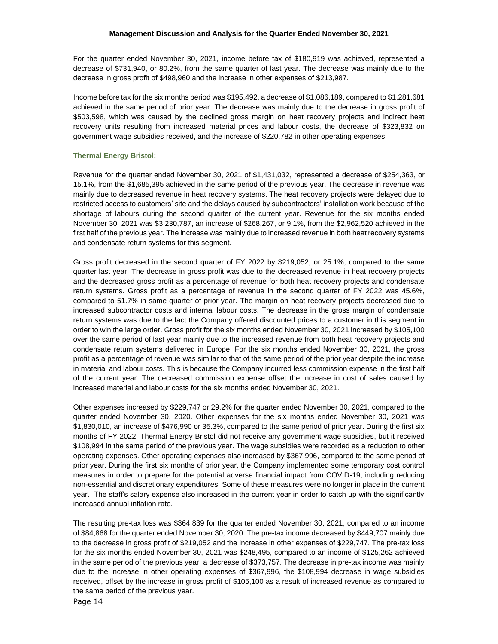For the quarter ended November 30, 2021, income before tax of \$180,919 was achieved, represented a decrease of \$731,940, or 80.2%, from the same quarter of last year. The decrease was mainly due to the decrease in gross profit of \$498,960 and the increase in other expenses of \$213,987.

Income before tax for the six months period was \$195,492, a decrease of \$1,086,189, compared to \$1,281,681 achieved in the same period of prior year. The decrease was mainly due to the decrease in gross profit of \$503,598, which was caused by the declined gross margin on heat recovery projects and indirect heat recovery units resulting from increased material prices and labour costs, the decrease of \$323,832 on government wage subsidies received, and the increase of \$220,782 in other operating expenses.

# **Thermal Energy Bristol:**

Revenue for the quarter ended November 30, 2021 of \$1,431,032, represented a decrease of \$254,363, or 15.1%, from the \$1,685,395 achieved in the same period of the previous year. The decrease in revenue was mainly due to decreased revenue in heat recovery systems. The heat recovery projects were delayed due to restricted access to customers' site and the delays caused by subcontractors' installation work because of the shortage of labours during the second quarter of the current year. Revenue for the six months ended November 30, 2021 was \$3,230,787, an increase of \$268,267, or 9.1%, from the \$2,962,520 achieved in the first half of the previous year. The increase was mainly due to increased revenue in both heat recovery systems and condensate return systems for this segment.

Gross profit decreased in the second quarter of FY 2022 by \$219,052, or 25.1%, compared to the same quarter last year. The decrease in gross profit was due to the decreased revenue in heat recovery projects and the decreased gross profit as a percentage of revenue for both heat recovery projects and condensate return systems. Gross profit as a percentage of revenue in the second quarter of FY 2022 was 45.6%, compared to 51.7% in same quarter of prior year. The margin on heat recovery projects decreased due to increased subcontractor costs and internal labour costs. The decrease in the gross margin of condensate return systems was due to the fact the Company offered discounted prices to a customer in this segment in order to win the large order. Gross profit for the six months ended November 30, 2021 increased by \$105,100 over the same period of last year mainly due to the increased revenue from both heat recovery projects and condensate return systems delivered in Europe. For the six months ended November 30, 2021, the gross profit as a percentage of revenue was similar to that of the same period of the prior year despite the increase in material and labour costs. This is because the Company incurred less commission expense in the first half of the current year. The decreased commission expense offset the increase in cost of sales caused by increased material and labour costs for the six months ended November 30, 2021.

Other expenses increased by \$229,747 or 29.2% for the quarter ended November 30, 2021, compared to the quarter ended November 30, 2020. Other expenses for the six months ended November 30, 2021 was \$1,830,010, an increase of \$476,990 or 35.3%, compared to the same period of prior year. During the first six months of FY 2022, Thermal Energy Bristol did not receive any government wage subsidies, but it received \$108,994 in the same period of the previous year. The wage subsidies were recorded as a reduction to other operating expenses. Other operating expenses also increased by \$367,996, compared to the same period of prior year. During the first six months of prior year, the Company implemented some temporary cost control measures in order to prepare for the potential adverse financial impact from COVID-19, including reducing non-essential and discretionary expenditures. Some of these measures were no longer in place in the current year. The staff's salary expense also increased in the current year in order to catch up with the significantly increased annual inflation rate.

The resulting pre-tax loss was \$364,839 for the quarter ended November 30, 2021, compared to an income of \$84,868 for the quarter ended November 30, 2020. The pre-tax income decreased by \$449,707 mainly due to the decrease in gross profit of \$219,052 and the increase in other expenses of \$229,747. The pre-tax loss for the six months ended November 30, 2021 was \$248,495, compared to an income of \$125,262 achieved in the same period of the previous year, a decrease of \$373,757. The decrease in pre-tax income was mainly due to the increase in other operating expenses of \$367,996, the \$108,994 decrease in wage subsidies received, offset by the increase in gross profit of \$105,100 as a result of increased revenue as compared to the same period of the previous year.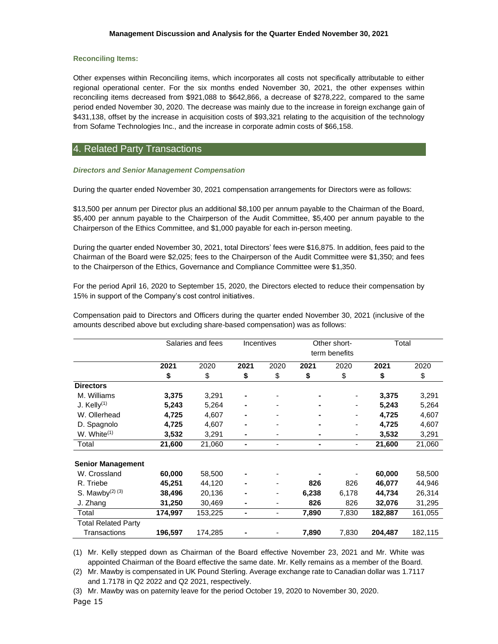## **Reconciling Items:**

Other expenses within Reconciling items, which incorporates all costs not specifically attributable to either regional operational center. For the six months ended November 30, 2021, the other expenses within reconciling items decreased from \$921,088 to \$642,866, a decrease of \$278,222, compared to the same period ended November 30, 2020. The decrease was mainly due to the increase in foreign exchange gain of \$431,138, offset by the increase in acquisition costs of \$93,321 relating to the acquisition of the technology from Sofame Technologies Inc., and the increase in corporate admin costs of \$66,158.

# 4. Related Party Transactions

# *Directors and Senior Management Compensation*

During the quarter ended November 30, 2021 compensation arrangements for Directors were as follows:

\$13,500 per annum per Director plus an additional \$8,100 per annum payable to the Chairman of the Board, \$5,400 per annum payable to the Chairperson of the Audit Committee, \$5,400 per annum payable to the Chairperson of the Ethics Committee, and \$1,000 payable for each in-person meeting.

During the quarter ended November 30, 2021, total Directors' fees were \$16,875. In addition, fees paid to the Chairman of the Board were \$2,025; fees to the Chairperson of the Audit Committee were \$1,350; and fees to the Chairperson of the Ethics, Governance and Compliance Committee were \$1,350.

For the period April 16, 2020 to September 15, 2020, the Directors elected to reduce their compensation by 15% in support of the Company's cost control initiatives.

Compensation paid to Directors and Officers during the quarter ended November 30, 2021 (inclusive of the amounts described above but excluding share-based compensation) was as follows:

|                            | Salaries and fees |         | Incentives     |                          | Other short-<br>term benefits |                          | Total   |         |
|----------------------------|-------------------|---------|----------------|--------------------------|-------------------------------|--------------------------|---------|---------|
|                            | 2021              | 2020    | 2021           | 2020                     | 2021                          | 2020                     | 2021    | 2020    |
|                            | \$                | \$      | \$             | \$                       | \$                            | \$                       | \$      | \$      |
| <b>Directors</b>           |                   |         |                |                          |                               |                          |         |         |
| M. Williams                | 3,375             | 3,291   |                |                          |                               |                          | 3,375   | 3,291   |
| J. Kelly $(1)$             | 5,243             | 5,264   |                |                          |                               | ٠                        | 5,243   | 5,264   |
| W. Ollerhead               | 4,725             | 4,607   |                |                          |                               |                          | 4,725   | 4,607   |
| D. Spagnolo                | 4,725             | 4,607   |                |                          |                               | $\overline{\phantom{0}}$ | 4,725   | 4,607   |
| W. White $(1)$             | 3,532             | 3,291   |                | ٠                        |                               | ٠                        | 3,532   | 3,291   |
| Total                      | 21,600            | 21,060  | $\blacksquare$ | $\overline{\phantom{a}}$ | $\blacksquare$                | $\overline{\phantom{a}}$ | 21,600  | 21,060  |
| <b>Senior Management</b>   |                   |         |                |                          |                               |                          |         |         |
| W. Crossland               | 60,000            | 58,500  |                |                          |                               |                          | 60,000  | 58,500  |
| R. Triebe                  | 45,251            | 44,120  |                | $\overline{a}$           | 826                           | 826                      | 46,077  | 44,946  |
| S. Mawby $(2)$ $(3)$       | 38,496            | 20,136  |                | $\overline{a}$           | 6,238                         | 6,178                    | 44,734  | 26,314  |
| J. Zhang                   | 31,250            | 30,469  |                | $\overline{a}$           | 826                           | 826                      | 32,076  | 31,295  |
| Total                      | 174,997           | 153,225 |                |                          | 7,890                         | 7,830                    | 182,887 | 161,055 |
| <b>Total Related Party</b> |                   |         |                |                          |                               |                          |         |         |
| Transactions               | 196,597           | 174,285 |                |                          | 7,890                         | 7,830                    | 204,487 | 182,115 |

(1) Mr. Kelly stepped down as Chairman of the Board effective November 23, 2021 and Mr. White was appointed Chairman of the Board effective the same date. Mr. Kelly remains as a member of the Board.

(2) Mr. Mawby is compensated in UK Pound Sterling. Average exchange rate to Canadian dollar was 1.7117 and 1.7178 in Q2 2022 and Q2 2021, respectively.

Page 15 (3) Mr. Mawby was on paternity leave for the period October 19, 2020 to November 30, 2020.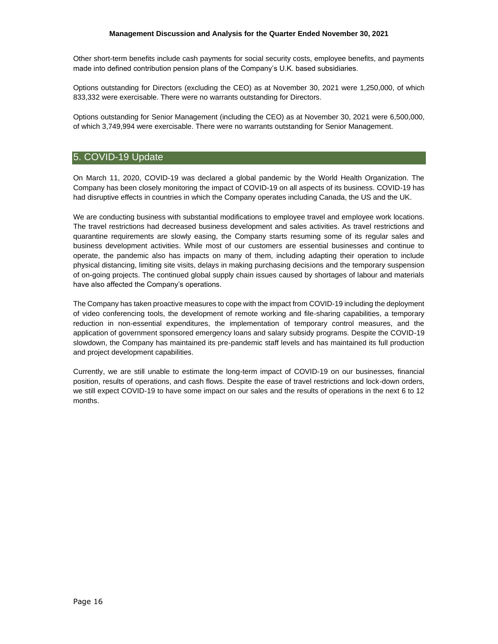Other short-term benefits include cash payments for social security costs, employee benefits, and payments made into defined contribution pension plans of the Company's U.K. based subsidiaries.

Options outstanding for Directors (excluding the CEO) as at November 30, 2021 were 1,250,000, of which 833,332 were exercisable. There were no warrants outstanding for Directors.

Options outstanding for Senior Management (including the CEO) as at November 30, 2021 were 6,500,000, of which 3,749,994 were exercisable. There were no warrants outstanding for Senior Management.

# 5. COVID-19 Update

On March 11, 2020, COVID-19 was declared a global pandemic by the World Health Organization. The Company has been closely monitoring the impact of COVID-19 on all aspects of its business. COVID-19 has had disruptive effects in countries in which the Company operates including Canada, the US and the UK.

We are conducting business with substantial modifications to employee travel and employee work locations. The travel restrictions had decreased business development and sales activities. As travel restrictions and quarantine requirements are slowly easing, the Company starts resuming some of its regular sales and business development activities. While most of our customers are essential businesses and continue to operate, the pandemic also has impacts on many of them, including adapting their operation to include physical distancing, limiting site visits, delays in making purchasing decisions and the temporary suspension of on-going projects. The continued global supply chain issues caused by shortages of labour and materials have also affected the Company's operations.

The Company has taken proactive measures to cope with the impact from COVID-19 including the deployment of video conferencing tools, the development of remote working and file-sharing capabilities, a temporary reduction in non-essential expenditures, the implementation of temporary control measures, and the application of government sponsored emergency loans and salary subsidy programs. Despite the COVID-19 slowdown, the Company has maintained its pre-pandemic staff levels and has maintained its full production and project development capabilities.

Currently, we are still unable to estimate the long-term impact of COVID-19 on our businesses, financial position, results of operations, and cash flows. Despite the ease of travel restrictions and lock-down orders, we still expect COVID-19 to have some impact on our sales and the results of operations in the next 6 to 12 months.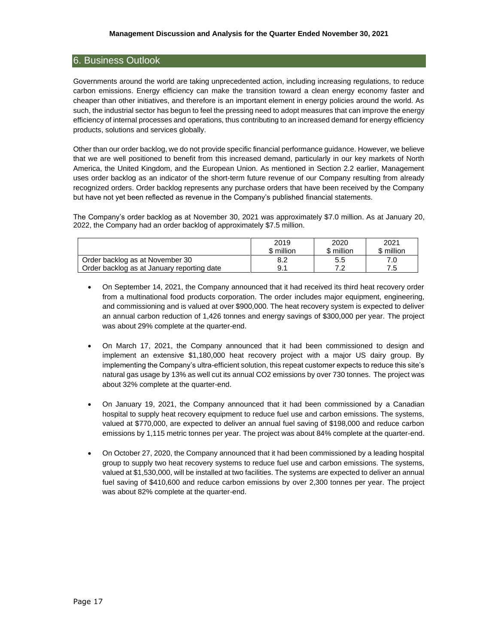# 6. Business Outlook

Governments around the world are taking unprecedented action, including increasing regulations, to reduce carbon emissions. Energy efficiency can make the transition toward a clean energy economy faster and cheaper than other initiatives, and therefore is an important element in energy policies around the world. As such, the industrial sector has begun to feel the pressing need to adopt measures that can improve the energy efficiency of internal processes and operations, thus contributing to an increased demand for energy efficiency products, solutions and services globally.

Other than our order backlog, we do not provide specific financial performance guidance. However, we believe that we are well positioned to benefit from this increased demand, particularly in our key markets of North America, the United Kingdom, and the European Union. As mentioned in Section 2.2 earlier, Management uses order backlog as an indicator of the short-term future revenue of our Company resulting from already recognized orders. Order backlog represents any purchase orders that have been received by the Company but have not yet been reflected as revenue in the Company's published financial statements.

The Company's order backlog as at November 30, 2021 was approximately \$7.0 million. As at January 20, 2022, the Company had an order backlog of approximately \$7.5 million.

|                                            | 2019<br>\$ million | 2020<br>\$ million | 2021<br>\$ million |
|--------------------------------------------|--------------------|--------------------|--------------------|
| Order backlog as at November 30            | 8.2                | 5.5                |                    |
| Order backlog as at January reporting date | 9.1                | ~ ~                | 75                 |

- On September 14, 2021, the Company announced that it had received its third heat recovery order from a multinational food products corporation. The order includes major equipment, engineering, and commissioning and is valued at over \$900,000. The heat recovery system is expected to deliver an annual carbon reduction of 1,426 tonnes and energy savings of \$300,000 per year. The project was about 29% complete at the quarter-end.
- On March 17, 2021, the Company announced that it had been commissioned to design and implement an extensive \$1,180,000 heat recovery project with a major US dairy group. By implementing the Company's ultra-efficient solution, this repeat customer expects to reduce this site's natural gas usage by 13% as well cut its annual CO2 emissions by over 730 tonnes. The project was about 32% complete at the quarter-end.
- On January 19, 2021, the Company announced that it had been commissioned by a Canadian hospital to supply heat recovery equipment to reduce fuel use and carbon emissions. The systems, valued at \$770,000, are expected to deliver an annual fuel saving of \$198,000 and reduce carbon emissions by 1,115 metric tonnes per year. The project was about 84% complete at the quarter-end.
- On October 27, 2020, the Company announced that it had been commissioned by a leading hospital group to supply two heat recovery systems to reduce fuel use and carbon emissions. The systems, valued at \$1,530,000, will be installed at two facilities. The systems are expected to deliver an annual fuel saving of \$410,600 and reduce carbon emissions by over 2,300 tonnes per year. The project was about 82% complete at the quarter-end.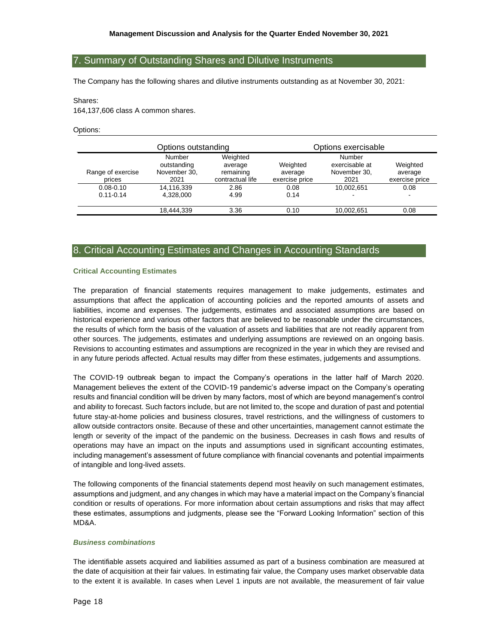# 7. Summary of Outstanding Shares and Dilutive Instruments

The Company has the following shares and dilutive instruments outstanding as at November 30, 2021:

#### Shares:

164,137,606 class A common shares.

Options:

|                             | Options outstanding                           |                                                      | Options exercisable                   |                                                  |                                       |  |
|-----------------------------|-----------------------------------------------|------------------------------------------------------|---------------------------------------|--------------------------------------------------|---------------------------------------|--|
| Range of exercise<br>prices | Number<br>outstanding<br>November 30,<br>2021 | Weighted<br>average<br>remaining<br>contractual life | Weighted<br>average<br>exercise price | Number<br>exercisable at<br>November 30,<br>2021 | Weighted<br>average<br>exercise price |  |
| $0.08 - 0.10$               | 14,116,339                                    | 2.86                                                 | 0.08                                  | 10.002.651                                       | 0.08                                  |  |
| $0.11 - 0.14$               | 4.328.000                                     | 4.99                                                 | 0.14                                  |                                                  | -                                     |  |
|                             | 18.444.339                                    | 3.36                                                 | 0.10                                  | 10,002,651                                       | 0.08                                  |  |

# 8. Critical Accounting Estimates and Changes in Accounting Standards

#### **Critical Accounting Estimates**

The preparation of financial statements requires management to make judgements, estimates and assumptions that affect the application of accounting policies and the reported amounts of assets and liabilities, income and expenses. The judgements, estimates and associated assumptions are based on historical experience and various other factors that are believed to be reasonable under the circumstances, the results of which form the basis of the valuation of assets and liabilities that are not readily apparent from other sources. The judgements, estimates and underlying assumptions are reviewed on an ongoing basis. Revisions to accounting estimates and assumptions are recognized in the year in which they are revised and in any future periods affected. Actual results may differ from these estimates, judgements and assumptions.

The COVID-19 outbreak began to impact the Company's operations in the latter half of March 2020. Management believes the extent of the COVID-19 pandemic's adverse impact on the Company's operating results and financial condition will be driven by many factors, most of which are beyond management's control and ability to forecast. Such factors include, but are not limited to, the scope and duration of past and potential future stay-at-home policies and business closures, travel restrictions, and the willingness of customers to allow outside contractors onsite. Because of these and other uncertainties, management cannot estimate the length or severity of the impact of the pandemic on the business. Decreases in cash flows and results of operations may have an impact on the inputs and assumptions used in significant accounting estimates, including management's assessment of future compliance with financial covenants and potential impairments of intangible and long-lived assets.

The following components of the financial statements depend most heavily on such management estimates, assumptions and judgment, and any changes in which may have a material impact on the Company's financial condition or results of operations. For more information about certain assumptions and risks that may affect these estimates, assumptions and judgments, please see the "Forward Looking Information" section of this MD&A.

# *Business combinations*

The identifiable assets acquired and liabilities assumed as part of a business combination are measured at the date of acquisition at their fair values. In estimating fair value, the Company uses market observable data to the extent it is available. In cases when Level 1 inputs are not available, the measurement of fair value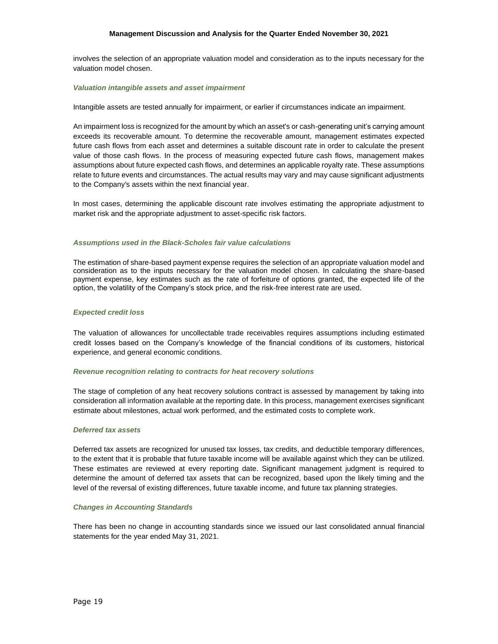## **Management Discussion and Analysis for the Quarter Ended November 30, 2021**

involves the selection of an appropriate valuation model and consideration as to the inputs necessary for the valuation model chosen.

#### *Valuation intangible assets and asset impairment*

Intangible assets are tested annually for impairment, or earlier if circumstances indicate an impairment.

An impairment loss is recognized for the amount by which an asset's or cash-generating unit's carrying amount exceeds its recoverable amount. To determine the recoverable amount, management estimates expected future cash flows from each asset and determines a suitable discount rate in order to calculate the present value of those cash flows. In the process of measuring expected future cash flows, management makes assumptions about future expected cash flows, and determines an applicable royalty rate. These assumptions relate to future events and circumstances. The actual results may vary and may cause significant adjustments to the Company's assets within the next financial year.

In most cases, determining the applicable discount rate involves estimating the appropriate adjustment to market risk and the appropriate adjustment to asset-specific risk factors.

#### *Assumptions used in the Black-Scholes fair value calculations*

The estimation of share-based payment expense requires the selection of an appropriate valuation model and consideration as to the inputs necessary for the valuation model chosen. In calculating the share-based payment expense, key estimates such as the rate of forfeiture of options granted, the expected life of the option, the volatility of the Company's stock price, and the risk-free interest rate are used.

#### *Expected credit loss*

The valuation of allowances for uncollectable trade receivables requires assumptions including estimated credit losses based on the Company's knowledge of the financial conditions of its customers, historical experience, and general economic conditions.

#### *Revenue recognition relating to contracts for heat recovery solutions*

The stage of completion of any heat recovery solutions contract is assessed by management by taking into consideration all information available at the reporting date. In this process, management exercises significant estimate about milestones, actual work performed, and the estimated costs to complete work.

### *Deferred tax assets*

Deferred tax assets are recognized for unused tax losses, tax credits, and deductible temporary differences, to the extent that it is probable that future taxable income will be available against which they can be utilized. These estimates are reviewed at every reporting date. Significant management judgment is required to determine the amount of deferred tax assets that can be recognized, based upon the likely timing and the level of the reversal of existing differences, future taxable income, and future tax planning strategies.

#### *Changes in Accounting Standards*

There has been no change in accounting standards since we issued our last consolidated annual financial statements for the year ended May 31, 2021.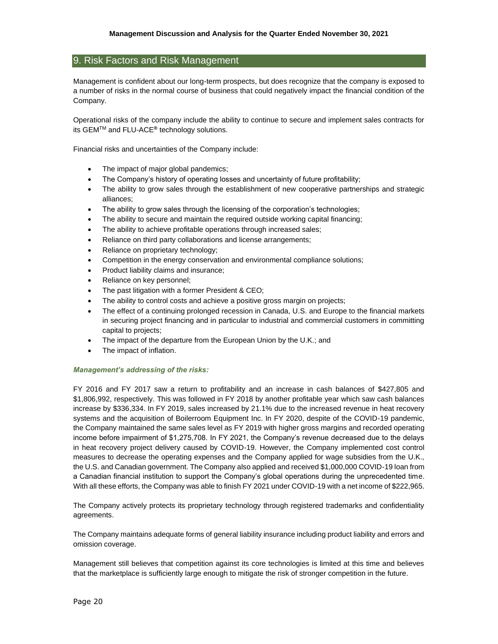# 9. Risk Factors and Risk Management

Management is confident about our long-term prospects, but does recognize that the company is exposed to a number of risks in the normal course of business that could negatively impact the financial condition of the Company.

Operational risks of the company include the ability to continue to secure and implement sales contracts for its GEMTM and FLU-ACE**®** technology solutions.

Financial risks and uncertainties of the Company include:

- The impact of major global pandemics;
- The Company's history of operating losses and uncertainty of future profitability;
- The ability to grow sales through the establishment of new cooperative partnerships and strategic alliances;
- The ability to grow sales through the licensing of the corporation's technologies;
- The ability to secure and maintain the required outside working capital financing;
- The ability to achieve profitable operations through increased sales;
- Reliance on third party collaborations and license arrangements;
- Reliance on proprietary technology;
- Competition in the energy conservation and environmental compliance solutions;
- Product liability claims and insurance;
- Reliance on key personnel;
- The past litigation with a former President & CEO;
- The ability to control costs and achieve a positive gross margin on projects;
- The effect of a continuing prolonged recession in Canada, U.S. and Europe to the financial markets in securing project financing and in particular to industrial and commercial customers in committing capital to projects;
- The impact of the departure from the European Union by the U.K.; and
- The impact of inflation.

### *Management's addressing of the risks:*

FY 2016 and FY 2017 saw a return to profitability and an increase in cash balances of \$427,805 and \$1,806,992, respectively. This was followed in FY 2018 by another profitable year which saw cash balances increase by \$336,334. In FY 2019, sales increased by 21.1% due to the increased revenue in heat recovery systems and the acquisition of Boilerroom Equipment Inc. In FY 2020, despite of the COVID-19 pandemic, the Company maintained the same sales level as FY 2019 with higher gross margins and recorded operating income before impairment of \$1,275,708. In FY 2021, the Company's revenue decreased due to the delays in heat recovery project delivery caused by COVID-19. However, the Company implemented cost control measures to decrease the operating expenses and the Company applied for wage subsidies from the U.K., the U.S. and Canadian government. The Company also applied and received \$1,000,000 COVID-19 loan from a Canadian financial institution to support the Company's global operations during the unprecedented time. With all these efforts, the Company was able to finish FY 2021 under COVID-19 with a net income of \$222,965.

The Company actively protects its proprietary technology through registered trademarks and confidentiality agreements.

The Company maintains adequate forms of general liability insurance including product liability and errors and omission coverage.

Management still believes that competition against its core technologies is limited at this time and believes that the marketplace is sufficiently large enough to mitigate the risk of stronger competition in the future.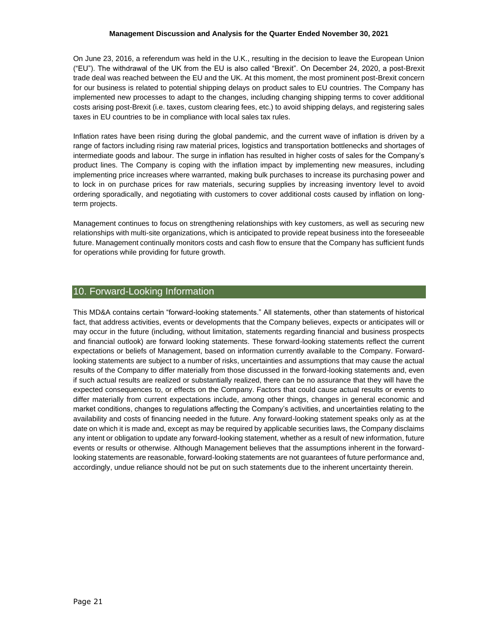## **Management Discussion and Analysis for the Quarter Ended November 30, 2021**

On June 23, 2016, a referendum was held in the U.K., resulting in the decision to leave the European Union ("EU"). The withdrawal of the UK from the EU is also called "Brexit". On December 24, 2020, a post-Brexit trade deal was reached between the EU and the UK. At this moment, the most prominent post-Brexit concern for our business is related to potential shipping delays on product sales to EU countries. The Company has implemented new processes to adapt to the changes, including changing shipping terms to cover additional costs arising post-Brexit (i.e. taxes, custom clearing fees, etc.) to avoid shipping delays, and registering sales taxes in EU countries to be in compliance with local sales tax rules.

Inflation rates have been rising during the global pandemic, and the current wave of inflation is driven by a range of factors including rising raw material prices, logistics and transportation bottlenecks and shortages of intermediate goods and labour. The surge in inflation has resulted in higher costs of sales for the Company's product lines. The Company is coping with the inflation impact by implementing new measures, including implementing price increases where warranted, making bulk purchases to increase its purchasing power and to lock in on purchase prices for raw materials, securing supplies by increasing inventory level to avoid ordering sporadically, and negotiating with customers to cover additional costs caused by inflation on longterm projects.

Management continues to focus on strengthening relationships with key customers, as well as securing new relationships with multi-site organizations, which is anticipated to provide repeat business into the foreseeable future. Management continually monitors costs and cash flow to ensure that the Company has sufficient funds for operations while providing for future growth.

# 10. Forward-Looking Information

This MD&A contains certain "forward-looking statements." All statements, other than statements of historical fact, that address activities, events or developments that the Company believes, expects or anticipates will or may occur in the future (including, without limitation, statements regarding financial and business prospects and financial outlook) are forward looking statements. These forward-looking statements reflect the current expectations or beliefs of Management, based on information currently available to the Company. Forwardlooking statements are subject to a number of risks, uncertainties and assumptions that may cause the actual results of the Company to differ materially from those discussed in the forward-looking statements and, even if such actual results are realized or substantially realized, there can be no assurance that they will have the expected consequences to, or effects on the Company. Factors that could cause actual results or events to differ materially from current expectations include, among other things, changes in general economic and market conditions, changes to regulations affecting the Company's activities, and uncertainties relating to the availability and costs of financing needed in the future. Any forward-looking statement speaks only as at the date on which it is made and, except as may be required by applicable securities laws, the Company disclaims any intent or obligation to update any forward-looking statement, whether as a result of new information, future events or results or otherwise. Although Management believes that the assumptions inherent in the forwardlooking statements are reasonable, forward-looking statements are not guarantees of future performance and, accordingly, undue reliance should not be put on such statements due to the inherent uncertainty therein.